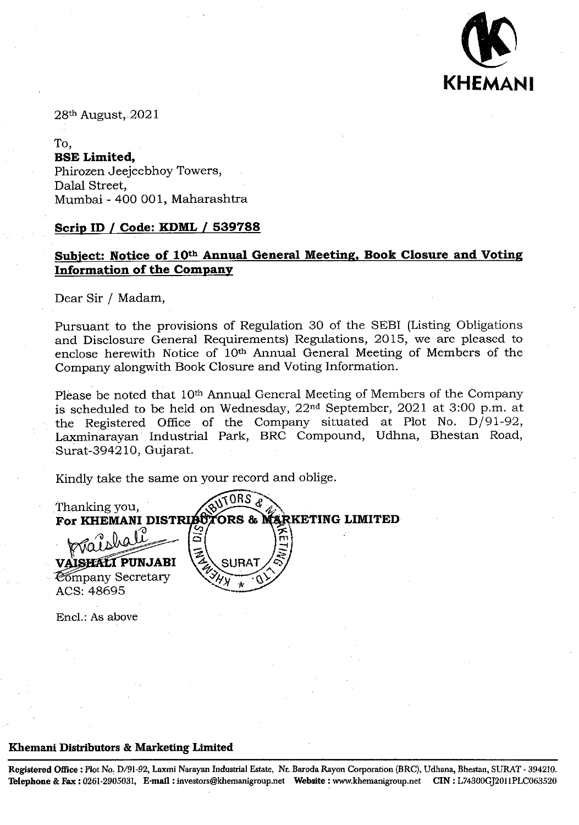

28th August, 2021

To, **ESE Limited,**  Phirozen Jeejeebhoy Towers, Dalal Street, Mumbai - 400 001, Maharashtra

## **Scrip ID I Code: KDML** *I* **539788**

# **Subject: Notice of 10th Annual General Meeting, Book Closure and Voting Information of the Company**

Dear Sir / Madam,

Pursuant to the provisions of Regulation 30 of the SEBI (Listing Obligations and Disclosure General Requirements) Regulations, 2015, we are pleased to enclose herewith Notice of 10th Annual General Meeting of Members of the Company alongwith Book Closure and Voting Information.

Please be noted that 10th Annual General Meeting of Members of the Company is scheduled to be held on Wednesday, 22nd September, 2021 at 3:00 p.m. at the Registered Office of the Company situated at Plot No. D/91-92, .Laxminarayan Industrial Park, BRC Compound, Udhna, Bhestan Road, Surat-394210, Gujarat.

Kindly take the same on your record and oblige.

Thanking you,<br>For KHEMANI DISTRIBUTORS & M For KHEMANI DISTRISUZORS & MARKETING LIMITED **VAISHALT PUNJABI** Company Secretary ACS: 48695

Encl.: As above

## **Khemani Distributors** & **Marketing Limited**

**Registered Office:** Plot **No. D/91-92, Laxmi Narayan Industrial Estate, Nr. Baroda Rayon Corporation (BRC), Udhana, Bhestan,** SURAT - 394210. Telephone & Fax: 0261-2905031, E-mail: investors@khemanigroup.net Website: www.khemanigroup.net CIN: L74300GJ2011PLC063520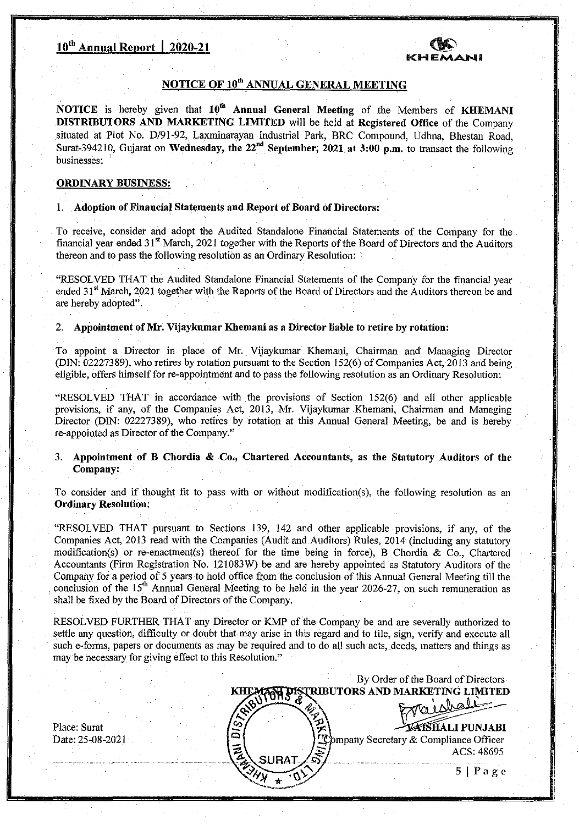

## **NOTICE OF** 10th ANNUAL **GENERAL MEETING**

**NOTICE is hereby given that 10°' Annual General Meeting of** the Members of KUEMANI **DISTRIBUTORS AND MARKETING LIMITED will be held at Registered Office of the** Company situated at Plot No. D/91-92, Laxminarayan Industrial Park, BRC Compound, Udhna, Bhestan Road, Surat-394210, Gujarat on Wednesday, the 22<sup>nd</sup> September, 2021 at 3:00 p.m. to transact the following businesses:

#### ORDINARY BUSINESS:

Place: Surat Date: 25-08-2021

#### **1. Adoption of Financial Statements and Report of Board Of Directors:**

To receive, consider and adopt the Audited Standalone Financial Statements of the Company for the financial year ended 31<sup>st</sup> March, 2021 together with the Reports of the Board of Directors and the Auditors thereon and to pass the following resolution as an Ordinary Resolution:

"RESOLVED THAT the Audited Standalone Financial Statements of the Company for the financial year ended 31<sup>st</sup> March, 2021 together with the Reports of the Board of Directors and the Auditors thereon be and are hereby adopted".

#### **2. Appointment of Mr. Vijaykumar Kliemanias a Director liable to retire by rotation:**

To appoint a Director in place of Mr. Vijaykumar Khemani, Chairman and Managing Director (DIN: 02227389), who retires by rotation pursuant to the Section 152(6) of Companies Act, 2013 and being eligible, offers himself for re-appointment and to pass the following resolution as an Ordinary Resolution:

"RESOLVED THAT in accordance with the provisions of Section 152(6) and all other applicable provisions, if any, of the Companies Act, 2013, Mr. Vijaykumar Khemani, Chairman and Managing Director (DIN: 02227389), who retires by rotation at this Annual General Meeting, be and is hereby re-appointed as Director of the Company."

### 3. Appointment of B Chordia **& Co., Chartered Accountants, as the Statutory Auditors of the Company:**

To consider and if thought fit to pass with or without modification(s), the following resolution as an Ordinary Resolution:

• "RESOLVED THAT pursuant to Sections 139, 142 and other applicable . provisions, if any, of the Companies Act, 2013 read with the Companies (Audit and Auditors) Rules, 2014 (including any statutory modification(s) or re-enactment(s) thereof for the time being in force), B Chordia & Co., Chartered Accountants (Firm Registration No. 121083W) be and are hereby appointed as Statutory Auditors of the Company for a period of 5 years to hold office from the conclusion of this Annual General Meeting till the conclusion of the  $15<sup>th</sup>$  Annual General Meeting to be held in the year 2026-27, on such remuneration as shall be fixed by the Board of Directors of the Company.

RESOLVED FURTHER THAT any Director or KMP of the Company be and are severally authorized to settle any question, difficulty or doubt that may arise in this regard and to file, sign, verify and execute all such e-forms, papers or documents as may be required and to do all such acts, deeds, matters and things as may be necessary for giving effect to this Resolution."

By Order of the Board of Directors TRIBUTORS AND MARKETING LIMITED **=&Ipu**<sup>~</sup>**NJABI** --  $\alpha$  Secretary  $\&$  Compliance Officer ACS: 48695  $5 | Page$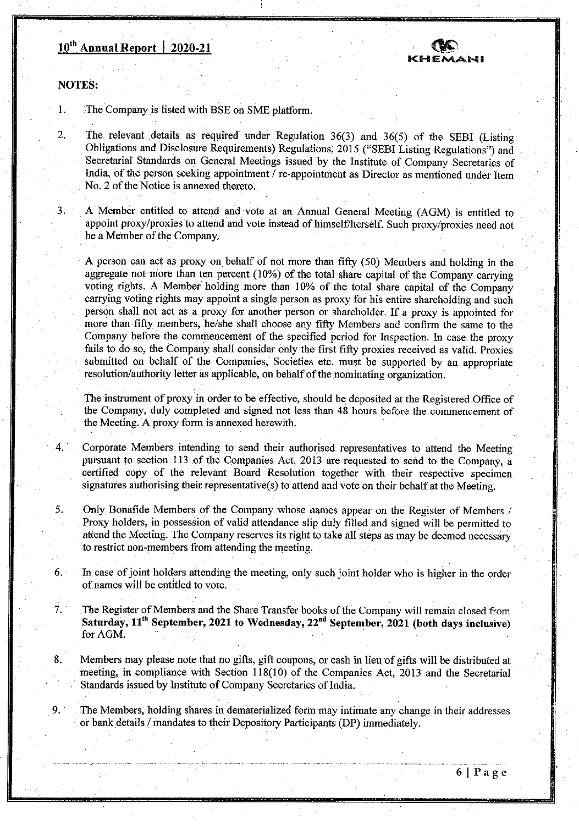# **10<sup>th</sup> Annual Report** | 2020-21



**NOTES:** 

1.

The Company is listed with BSE on SME platform.

2 The relevant details as required under Regulation 36(3) and 36(5) of the SEBI (Listing Obligations and Disclosure Requirements) Regulations, 2015 ("SEBI Listing Regulations") and Secretarial Standards on General Meetings issued by the Institute of Company Secretaries of India, of the person seeking appointment / re-appointment as Director as mentioned under Item No. 2 of the Notice is annexed thereto.

3. A Member entitled to attend and vote at an Annual General Meeting (AGM) is entitled to appoint proxy/proxies to attend and vote instead of himself/herself. Such proxy/proxies need not be a Member of the Company.

A person can act as proxy on behalf of not more than fifty (50) Members and holding in the aggregate not more than ten percent (10%) of the total share capital of the Company carrying voting rights. A Member holding more than 10% of the total share capital of the Company carrying voting rights may appoint a single person as proxy for his entire shareholding and such person shall not act as a proxy for another person or shareholder. If a proxy is appointed for more than fifty members, he/she shall choose any fifty Members and confirm the same to the Company before the commencement of the specified period for Inspection. In case the proxy fails to do so, the Company shall consider only the first fifty proxies received as valid. Proxies submitted on behalf of the Companies, 'Societies etc. must be supported by an appropriate resolution/authority letter as applicable, on behalf of the nominating organization.

The instrument of proxy in order to be effective, should be deposited at the Registered Office of the Company, duly completed and signed not less than 48 hours before the commencement of the Meeting. A proxy form is annexed herewith.

4. Corporate Members intending to send their authorised representatives to attend the Meeting pursuant to section 113 of the Companies Act, 2013 are requested to send to the Company, a certified copy of the relevant Board Resolution together with their respective specimen signatures authorising their representative(s) to attend and vote on their behalf at the Meeting.

5. Only Bonafide Members of the Company whose names appear on the Register of Members / Proxy holders, in possession of valid attendance slip duly filled and signed will be permitted to attend the Meeting. The Company reserves its right to take all steps as may be deemed necessary to restrict non-members from attending the meeting.

- 6. In case of joint holders attending the meeting, only such joint holder who is higher in the order of names will be entitled to vote.
- 7. The Register of Members and the Share Transfer books of the Company will remain closed from Saturday, 11<sup>th</sup> September, 2021 to Wednesday, 22<sup>nd</sup> September, 2021 (both days inclusive) for AGM.
- 8. Members may please note that no gifts, gift coupons, or cash in lieu of gifts will be distributed at meeting, in compliance with Section 118(10) of the Companies Act, 2013 and the Secretarial Standards issued by Institute of Company Secretaries of India

9. The Members, holding shares in dematerialized form may intimate any change in their addresses or bank details / mandates to their Depository Participants (DP) immediately.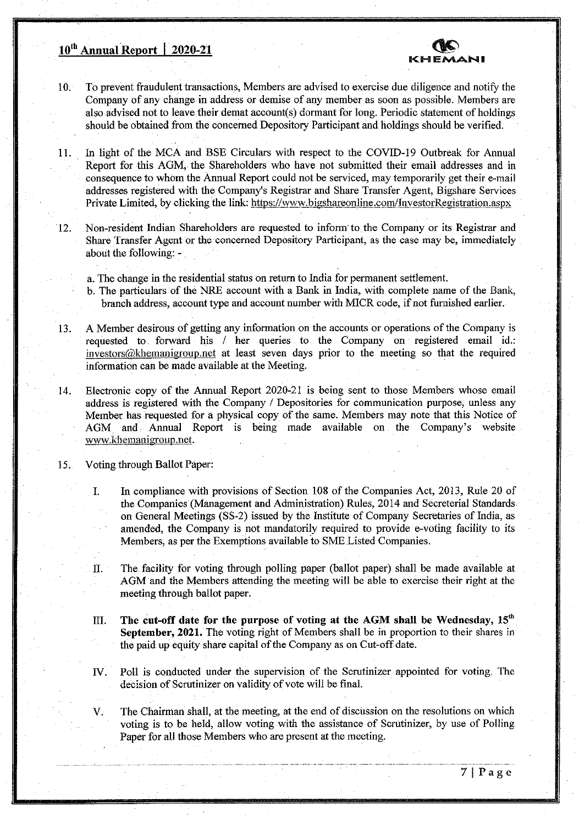# **10<sup>th</sup> Annual Report | 2020-21**



- 10. To prevent fraudulent transactions, Members are advised to exercise due diligence and notify the Company of any change in address or demise of any member as soon as possible. Members are also advised not to leave their demat account(s) dormant for long. Periodic statement of holdings should be obtained from the concerned Depository Participant and holdings should be verified.
- 11. In light of the MCA and BSE Circulars with respect to the COVID-19 Outbreak for Annual Report for this AGM, the Shareholders who have not submitted their email addresses and in consequence to whom the Annual Report could not be serviced, may temporarily get their e-mail addresses registered with the Company's Registrar and Share Transfer Agent, Bigshare Services Private Limited, by clicking the link: https://www.bigshareonline.com/InvestorRegistration.aspx
- 12. Non-resident Indian Shareholders are requested to inform to the Company or its Registrar and Share Transfer Agent or the concerned Depository Participant, as the case may be, immediately about the following:
	- a. The change in the residential status on return to India for permanent settlement.
	- b. The particulars of the NRE account with a Bank in India, with complete name of the Bank, branch address, account type and account number with MICR code, if not furnished earlier.
- 13. A Member desirous of getting any information on the accounts or operations of the Company is requested to forward his *I* her queries to the Company on registered email id.: investors@khemanigroup.net at least seven days prior to the meeting so that the required information can be made available at the Meeting.
- 14. Electronic copy of the Annual Report 2020-21 is being sent to those Members whose email address is registered with the Company / Depositories for communication purpose, unless any Member has requested for a physical copy of the same. Members may note that this Notice of AGM and Annual Report is being made available on the Company's website www.khemanigroup.net.
- 15. Voting through Ballot Paper:
	- 1. In compliance with provisions of Section 108 of the Companies Act, 2013, Rule 20 of the Companies (Management and Administration) Rules, 2014 and Secreterial Standards on General Meetings (SS-2) issued by the Institute of Company Secretaries of India, as amended, the Company is not mandatorily required to provide e-voting facility to its Members, as per the Exemptions available to SME Listed Companies.
	- II. The facility for voting through polling paper (ballot paper) shall be made available at AGM and the Members attending the meeting will be able to exercise their right at the meeting through ballot paper.
	- In. **The cut-off date for the purpose of voting at the** AGM **shall be Wednesday,** 15' September, 2021. The voting right of Members shall be in proportion to their shares in the paid up equity share capital of the Company as on Cut-off date.
	- IV. Poll is conducted under the supervision of the Scrutinizer appointed for voting. The decision of Scrutinizer on validity of vote will be final.
	- V. The Chairman shall, at the meeting, at the end of discussion on the resolutions on which voting is to be held, allow voting with the assistance of Scrutinizer, by use of Polling Paper for all those Members who are present at the meeting.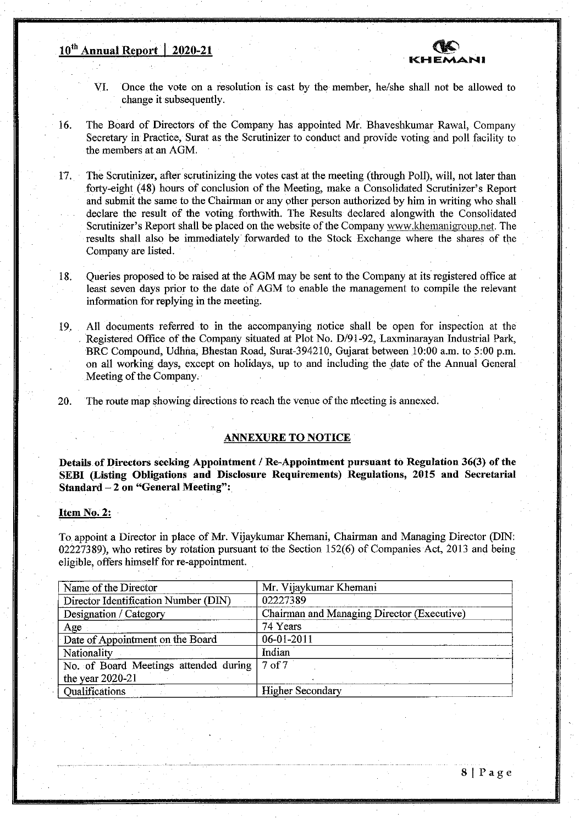# **10th Annual Report I 2020-21**



- VI. Once the vote on a resolution is cast by the member, he/she shall not be allowed to change it subsequently.
- 16. The Board of Directors of the Company has appointed Mr. Bhaveshkumar Rawal, Company Secretary in Practice, Surat as the Scrutinizer to conduct and provide voting and poll facility to the members at an AGM.
- 17. The Scrutinizer, after scrutinizing the votes cast at the meeting (through Poll), will, not later than forty-eight (48) hours of conclusion of the Meeting, make a Consolidated Scrutinizer's Report and submit the same to the Chairman or any other person authorized by him in writing who shall declare the result of the voting forthwith. The Results declared alongwith the Consolidated Scrutinizer's Report shall be placed on the website of the Company www, khemanigroup, net. The results shall also be immediately forwarded to the Stock Exchange where the shares of the Company are listed.
- 18. Queries proposed to be raised at the AGM may be sent to the Company at its registered office at least seven days prior to the date of AGM to enable the management to compile the relevant information for replying in the meeting.
- 19. All documents referred to in the accompanying notice shall be open for inspection at the Registered Office of the Company situated at Plot No. D/91-92, Laxminarayan Industrial Park, BRC Compound, Udhña, Bhestan Road, Surat-394210, Gujarat between 10:00 a.m. to 5:00 p.m. on all working days, except on holidays, up to and including the date of the Annual General Meeting of the Company.
- 20. The route map showing directions to reach the venue of the meeting is annexed.

#### **ANNEXURE TO NOTICE**

**Details of Directors seeking Appointment / Re-Appointment** pursuant to Regulation 36(3) of the **SEBI Listing Obligations and Disclosure Requirements) Regulations, 2015 and Secretarial Standard —2 on "General Meeting":** 

#### **Item** No. 2:

To appoint a Director in place of Mr. Vijaykumar Khemani, Chairman and Managing Director (DIN: 02227389), who retires by rotation pursuant to the Section 152(6) of Companies Act, 2013 and being eligible, offers himself for re-appointment.

| Name of the Director                  | Mr. Vijaykumar Khemani                     |
|---------------------------------------|--------------------------------------------|
| Director Identification Number (DIN)  | 02227389                                   |
| Designation / Category                | Chairman and Managing Director (Executive) |
| Age                                   | 74 Years                                   |
| Date of Appointment on the Board      | 06-01-2011                                 |
| Nationality                           | Indian                                     |
| No. of Board Meetings attended during | 7 <sub>of</sub> 7                          |
| the year 2020-21                      |                                            |
| Qualifications                        | <b>Higher Secondary</b>                    |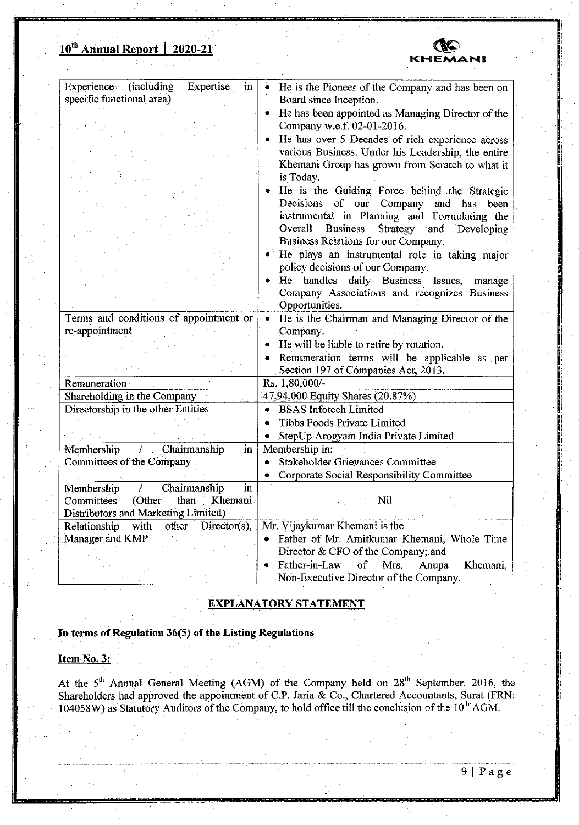# **<sup>10</sup>**" **Annual Report** I 2020-21



| specific functional area)<br>Board since Inception.<br>He has been appointed as Managing Director of the<br>Company w.e.f. 02-01-2016.<br>He has over 5 Decades of rich experience across<br>various Business. Under his Leadership, the entire<br>Khemani Group has grown from Scratch to what it<br>is Today.<br>Overall<br><b>Business</b><br>Strategy<br>and<br>Business Relations for our Company.<br>policy decisions of our Company.<br>handles daily Business Issues,<br>$\bullet$ He<br>Company Associations and recognizes Business<br>Opportunities.<br>Terms and conditions of appointment or<br>He is the Chairman and Managing Director of the<br>$\bullet$<br>re-appointment<br>Company.<br>He will be liable to retire by rotation.<br>$\bullet$<br>Remuneration terms will be applicable as per<br>Section 197 of Companies Act, 2013.<br>Rs. 1,80,000/-<br>Remuneration<br>Shareholding in the Company<br>47,94,000 Equity Shares (20.87%)<br>Directorship in the other Entities<br><b>BSAS</b> Infotech Limited<br>Tibbs Foods Private Limited<br>StepUp Arogyam India Private Limited<br>Membership<br>Chairmanship<br>Membership in:<br>in<br>$\pm$<br>Committees of the Company<br>Stakeholder Grievances Committee<br>$\bullet$<br>Corporate Social Responsibility Committee<br>in<br>Chairmanship<br>Membership<br>$\sqrt{ }$<br>Nil<br>Committees<br>(Other<br>than<br>Khemani<br>Distributors and Marketing Limited)<br>other Director(s),<br>Mr. Vijaykumar Khemani is the<br>Relationship<br>with<br>Manager and KMP<br>Director & CFO of the Company; and | Experience (including<br>Expertise in | He is the Pioneer of the Company and has been on<br>$\bullet$                                   |
|----------------------------------------------------------------------------------------------------------------------------------------------------------------------------------------------------------------------------------------------------------------------------------------------------------------------------------------------------------------------------------------------------------------------------------------------------------------------------------------------------------------------------------------------------------------------------------------------------------------------------------------------------------------------------------------------------------------------------------------------------------------------------------------------------------------------------------------------------------------------------------------------------------------------------------------------------------------------------------------------------------------------------------------------------------------------------------------------------------------------------------------------------------------------------------------------------------------------------------------------------------------------------------------------------------------------------------------------------------------------------------------------------------------------------------------------------------------------------------------------------------------------------------------------------------------------------------------|---------------------------------------|-------------------------------------------------------------------------------------------------|
|                                                                                                                                                                                                                                                                                                                                                                                                                                                                                                                                                                                                                                                                                                                                                                                                                                                                                                                                                                                                                                                                                                                                                                                                                                                                                                                                                                                                                                                                                                                                                                                        |                                       |                                                                                                 |
|                                                                                                                                                                                                                                                                                                                                                                                                                                                                                                                                                                                                                                                                                                                                                                                                                                                                                                                                                                                                                                                                                                                                                                                                                                                                                                                                                                                                                                                                                                                                                                                        |                                       |                                                                                                 |
|                                                                                                                                                                                                                                                                                                                                                                                                                                                                                                                                                                                                                                                                                                                                                                                                                                                                                                                                                                                                                                                                                                                                                                                                                                                                                                                                                                                                                                                                                                                                                                                        |                                       |                                                                                                 |
|                                                                                                                                                                                                                                                                                                                                                                                                                                                                                                                                                                                                                                                                                                                                                                                                                                                                                                                                                                                                                                                                                                                                                                                                                                                                                                                                                                                                                                                                                                                                                                                        |                                       |                                                                                                 |
|                                                                                                                                                                                                                                                                                                                                                                                                                                                                                                                                                                                                                                                                                                                                                                                                                                                                                                                                                                                                                                                                                                                                                                                                                                                                                                                                                                                                                                                                                                                                                                                        |                                       |                                                                                                 |
|                                                                                                                                                                                                                                                                                                                                                                                                                                                                                                                                                                                                                                                                                                                                                                                                                                                                                                                                                                                                                                                                                                                                                                                                                                                                                                                                                                                                                                                                                                                                                                                        |                                       |                                                                                                 |
|                                                                                                                                                                                                                                                                                                                                                                                                                                                                                                                                                                                                                                                                                                                                                                                                                                                                                                                                                                                                                                                                                                                                                                                                                                                                                                                                                                                                                                                                                                                                                                                        |                                       |                                                                                                 |
|                                                                                                                                                                                                                                                                                                                                                                                                                                                                                                                                                                                                                                                                                                                                                                                                                                                                                                                                                                                                                                                                                                                                                                                                                                                                                                                                                                                                                                                                                                                                                                                        |                                       |                                                                                                 |
|                                                                                                                                                                                                                                                                                                                                                                                                                                                                                                                                                                                                                                                                                                                                                                                                                                                                                                                                                                                                                                                                                                                                                                                                                                                                                                                                                                                                                                                                                                                                                                                        |                                       | He is the Guiding Force behind the Strategic                                                    |
|                                                                                                                                                                                                                                                                                                                                                                                                                                                                                                                                                                                                                                                                                                                                                                                                                                                                                                                                                                                                                                                                                                                                                                                                                                                                                                                                                                                                                                                                                                                                                                                        |                                       | Decisions of our Company and has been                                                           |
|                                                                                                                                                                                                                                                                                                                                                                                                                                                                                                                                                                                                                                                                                                                                                                                                                                                                                                                                                                                                                                                                                                                                                                                                                                                                                                                                                                                                                                                                                                                                                                                        |                                       | instrumental in Planning and Formulating the                                                    |
|                                                                                                                                                                                                                                                                                                                                                                                                                                                                                                                                                                                                                                                                                                                                                                                                                                                                                                                                                                                                                                                                                                                                                                                                                                                                                                                                                                                                                                                                                                                                                                                        |                                       | Developing                                                                                      |
|                                                                                                                                                                                                                                                                                                                                                                                                                                                                                                                                                                                                                                                                                                                                                                                                                                                                                                                                                                                                                                                                                                                                                                                                                                                                                                                                                                                                                                                                                                                                                                                        |                                       |                                                                                                 |
|                                                                                                                                                                                                                                                                                                                                                                                                                                                                                                                                                                                                                                                                                                                                                                                                                                                                                                                                                                                                                                                                                                                                                                                                                                                                                                                                                                                                                                                                                                                                                                                        |                                       | • He plays an instrumental role in taking major                                                 |
|                                                                                                                                                                                                                                                                                                                                                                                                                                                                                                                                                                                                                                                                                                                                                                                                                                                                                                                                                                                                                                                                                                                                                                                                                                                                                                                                                                                                                                                                                                                                                                                        |                                       |                                                                                                 |
|                                                                                                                                                                                                                                                                                                                                                                                                                                                                                                                                                                                                                                                                                                                                                                                                                                                                                                                                                                                                                                                                                                                                                                                                                                                                                                                                                                                                                                                                                                                                                                                        |                                       | manage                                                                                          |
|                                                                                                                                                                                                                                                                                                                                                                                                                                                                                                                                                                                                                                                                                                                                                                                                                                                                                                                                                                                                                                                                                                                                                                                                                                                                                                                                                                                                                                                                                                                                                                                        |                                       |                                                                                                 |
|                                                                                                                                                                                                                                                                                                                                                                                                                                                                                                                                                                                                                                                                                                                                                                                                                                                                                                                                                                                                                                                                                                                                                                                                                                                                                                                                                                                                                                                                                                                                                                                        |                                       |                                                                                                 |
|                                                                                                                                                                                                                                                                                                                                                                                                                                                                                                                                                                                                                                                                                                                                                                                                                                                                                                                                                                                                                                                                                                                                                                                                                                                                                                                                                                                                                                                                                                                                                                                        |                                       |                                                                                                 |
|                                                                                                                                                                                                                                                                                                                                                                                                                                                                                                                                                                                                                                                                                                                                                                                                                                                                                                                                                                                                                                                                                                                                                                                                                                                                                                                                                                                                                                                                                                                                                                                        |                                       |                                                                                                 |
|                                                                                                                                                                                                                                                                                                                                                                                                                                                                                                                                                                                                                                                                                                                                                                                                                                                                                                                                                                                                                                                                                                                                                                                                                                                                                                                                                                                                                                                                                                                                                                                        |                                       |                                                                                                 |
|                                                                                                                                                                                                                                                                                                                                                                                                                                                                                                                                                                                                                                                                                                                                                                                                                                                                                                                                                                                                                                                                                                                                                                                                                                                                                                                                                                                                                                                                                                                                                                                        |                                       |                                                                                                 |
|                                                                                                                                                                                                                                                                                                                                                                                                                                                                                                                                                                                                                                                                                                                                                                                                                                                                                                                                                                                                                                                                                                                                                                                                                                                                                                                                                                                                                                                                                                                                                                                        |                                       |                                                                                                 |
|                                                                                                                                                                                                                                                                                                                                                                                                                                                                                                                                                                                                                                                                                                                                                                                                                                                                                                                                                                                                                                                                                                                                                                                                                                                                                                                                                                                                                                                                                                                                                                                        |                                       |                                                                                                 |
|                                                                                                                                                                                                                                                                                                                                                                                                                                                                                                                                                                                                                                                                                                                                                                                                                                                                                                                                                                                                                                                                                                                                                                                                                                                                                                                                                                                                                                                                                                                                                                                        |                                       |                                                                                                 |
|                                                                                                                                                                                                                                                                                                                                                                                                                                                                                                                                                                                                                                                                                                                                                                                                                                                                                                                                                                                                                                                                                                                                                                                                                                                                                                                                                                                                                                                                                                                                                                                        |                                       |                                                                                                 |
|                                                                                                                                                                                                                                                                                                                                                                                                                                                                                                                                                                                                                                                                                                                                                                                                                                                                                                                                                                                                                                                                                                                                                                                                                                                                                                                                                                                                                                                                                                                                                                                        |                                       |                                                                                                 |
|                                                                                                                                                                                                                                                                                                                                                                                                                                                                                                                                                                                                                                                                                                                                                                                                                                                                                                                                                                                                                                                                                                                                                                                                                                                                                                                                                                                                                                                                                                                                                                                        |                                       |                                                                                                 |
|                                                                                                                                                                                                                                                                                                                                                                                                                                                                                                                                                                                                                                                                                                                                                                                                                                                                                                                                                                                                                                                                                                                                                                                                                                                                                                                                                                                                                                                                                                                                                                                        |                                       |                                                                                                 |
|                                                                                                                                                                                                                                                                                                                                                                                                                                                                                                                                                                                                                                                                                                                                                                                                                                                                                                                                                                                                                                                                                                                                                                                                                                                                                                                                                                                                                                                                                                                                                                                        |                                       |                                                                                                 |
|                                                                                                                                                                                                                                                                                                                                                                                                                                                                                                                                                                                                                                                                                                                                                                                                                                                                                                                                                                                                                                                                                                                                                                                                                                                                                                                                                                                                                                                                                                                                                                                        |                                       |                                                                                                 |
|                                                                                                                                                                                                                                                                                                                                                                                                                                                                                                                                                                                                                                                                                                                                                                                                                                                                                                                                                                                                                                                                                                                                                                                                                                                                                                                                                                                                                                                                                                                                                                                        |                                       |                                                                                                 |
|                                                                                                                                                                                                                                                                                                                                                                                                                                                                                                                                                                                                                                                                                                                                                                                                                                                                                                                                                                                                                                                                                                                                                                                                                                                                                                                                                                                                                                                                                                                                                                                        |                                       |                                                                                                 |
|                                                                                                                                                                                                                                                                                                                                                                                                                                                                                                                                                                                                                                                                                                                                                                                                                                                                                                                                                                                                                                                                                                                                                                                                                                                                                                                                                                                                                                                                                                                                                                                        |                                       |                                                                                                 |
|                                                                                                                                                                                                                                                                                                                                                                                                                                                                                                                                                                                                                                                                                                                                                                                                                                                                                                                                                                                                                                                                                                                                                                                                                                                                                                                                                                                                                                                                                                                                                                                        |                                       |                                                                                                 |
|                                                                                                                                                                                                                                                                                                                                                                                                                                                                                                                                                                                                                                                                                                                                                                                                                                                                                                                                                                                                                                                                                                                                                                                                                                                                                                                                                                                                                                                                                                                                                                                        |                                       |                                                                                                 |
|                                                                                                                                                                                                                                                                                                                                                                                                                                                                                                                                                                                                                                                                                                                                                                                                                                                                                                                                                                                                                                                                                                                                                                                                                                                                                                                                                                                                                                                                                                                                                                                        |                                       |                                                                                                 |
|                                                                                                                                                                                                                                                                                                                                                                                                                                                                                                                                                                                                                                                                                                                                                                                                                                                                                                                                                                                                                                                                                                                                                                                                                                                                                                                                                                                                                                                                                                                                                                                        |                                       |                                                                                                 |
| Non-Executive Director of the Company.                                                                                                                                                                                                                                                                                                                                                                                                                                                                                                                                                                                                                                                                                                                                                                                                                                                                                                                                                                                                                                                                                                                                                                                                                                                                                                                                                                                                                                                                                                                                                 |                                       |                                                                                                 |
|                                                                                                                                                                                                                                                                                                                                                                                                                                                                                                                                                                                                                                                                                                                                                                                                                                                                                                                                                                                                                                                                                                                                                                                                                                                                                                                                                                                                                                                                                                                                                                                        |                                       | Father of Mr. Amitkumar Khemani, Whole Time<br>Father-in-Law<br>Mrs.<br>Anupa<br>Khemani,<br>of |

# **EXPLANATORY STATEMENT**

**In terms of Regulation 36(5) of the Listing Regulations** 

## **Item** No. 3:

At the  $5<sup>th</sup>$  Annual General Meeting (AGM) of the Company held on  $28<sup>th</sup>$  September, 2016, the Shareholders had approved the appointment of C.P. Jaria & Co., Chartered Accountants, Surat (FRN: 104058W) as Statutory Auditors of the Company, to hold office till the conclusion of the 10<sup>th</sup> AGM.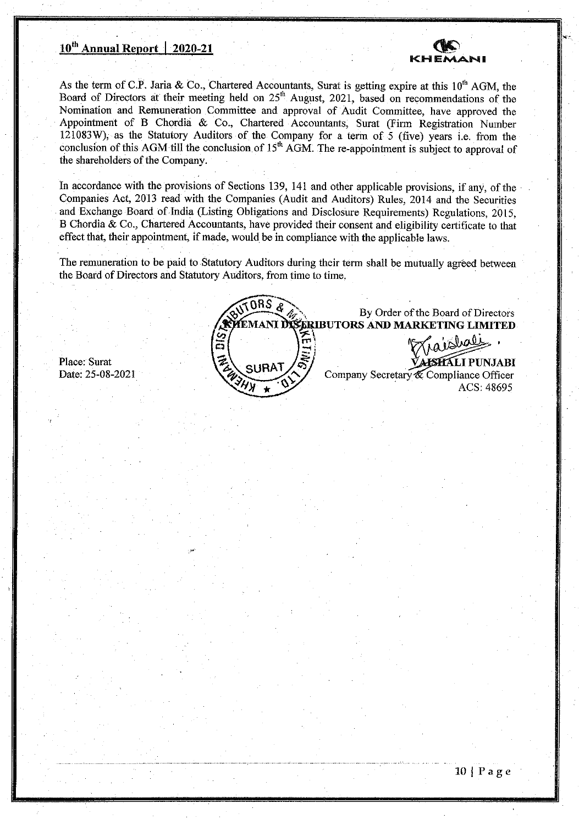# **10th Annual Report** I 2020-21



By Order of the Board of Directors

ACS: 48695

بللميال

As the term of C.P. Jaria & Co., Chartered Accountants, Surat is getting expire at this  $10^{th}$  AGM, the Board of Directors at their meeting held on  $25<sup>th</sup>$  August, 2021, based on recommendations of the Nomination and Remuneration Committee and approval of Audit Committee, have approved the Appointment of B Chordia & Co., Chartered Accountants, Surat (Firm Registration Number 121083W), as the Statutory Auditors of the Company for a term of 5 (five) years i.e. from the conclusion of this AGM till the conclusion of  $15<sup>th</sup>$  AGM. The re-appointment is subject to approval of the shareholders of the Company.

In accordance with the provisions of Sections 139, 141 and other applicable provisions, if any, of the Companies Act, 2013 read with the Companies (Audit and Auditors) Rules, 2014 and the Securities and Exchange Board of India (Listing Obligations and Disclosure Requirements) Regulations, 2015, B Chordia & Co., Chartered Accountants, have provided their consent and eligibility certificate to that effect that, their appointment, if made, would be in compliance with the applicable laws

The remuneration to be paid to Statutory Auditors during their term shall be mutually agreed between the Board of Directors and Statutory Auditors, from time to time.

98 S **EMANJ UTORS AND MARKETING LIMITED**   $\mathscr{D}(\mathbb{Z})=\mathbb{Z}$ Place: Surat<br>Date: 25-08-2021 **RAT**<br> **RAT**<br> **RAT**<br> **RAT**<br> **RAT**<br> **RAT**<br> **RAT**<br> **RAT**<br> **RATIFICITY**<br> **RATIFICITY**<br> **RATIFICITY**<br> **RATIFICITY**<br> **RATIFICITY**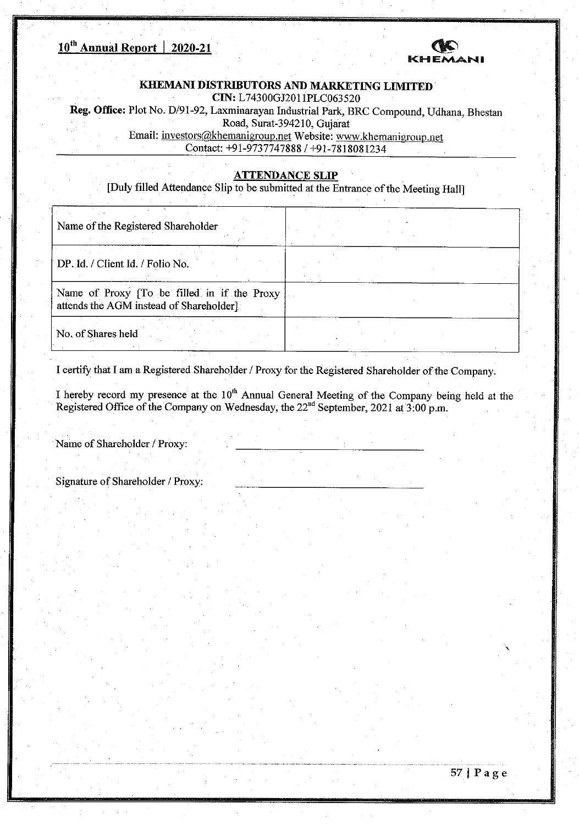

## **KHEMANI DISTRIBUTORS AND MARKETING LIMITED • CIN:** L74300GJ201 1PLC063520

Reg. Office: Plot No. D/91-92, Laxminarayan Industrial Park, BRC Compound, Udhana, Bhestan

Road, Surat-3 94210, Gujarat

Email: investors@khemanigroup.net Website: www.khemanigroup.net • Contact: +91-97377478881+91-7818081234

## **ATTENDANCE SLIP**

[Duly filled Attendance Slip to be submitted at the Entrance of the Meeting Hail]

| Name of the Registered Shareholder                                                     |  |
|----------------------------------------------------------------------------------------|--|
| DP. Id. / Client Id. / Folio No.                                                       |  |
| Name of Proxy [To be filled in if the Proxy<br>attends the AGM instead of Shareholder] |  |
| No. of Shares held                                                                     |  |

I certify that I am a Registered Shareholder / Proxy for the Registered Shareholder of the Company.

I hereby record my presence at the 10<sup>th</sup> Annual General Meeting of the Company being held at the Registered Office of the Company on Wednesday, the  $22<sup>nd</sup>$  September, 2021 at 3:00 p.m.

• Name of Shareholder *I* Proxy:

• Signature of Shareholder *I* Proxy: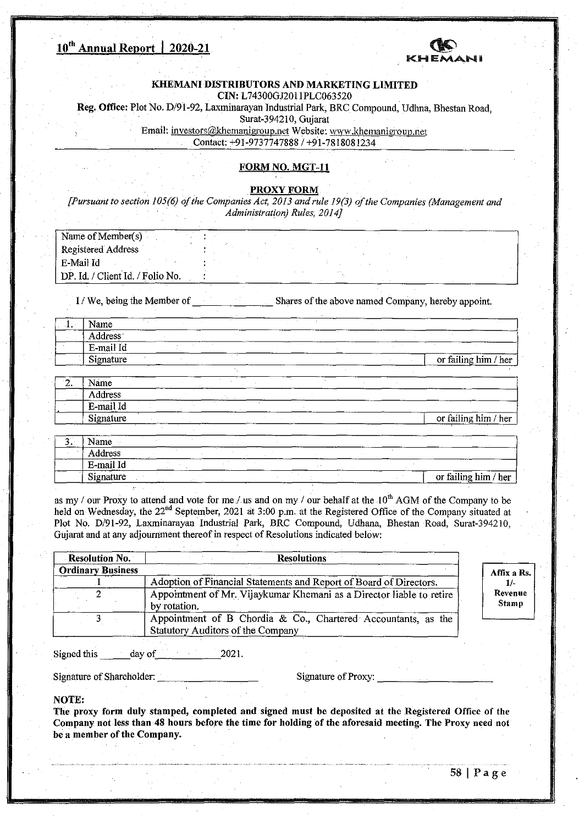

#### **KHEMANI DISTRIBUTORS AND MARKETING LIMITED CIN:** L74300GJ201 1PLC063520

Reg. Office: Plot No. D/9 1-92, Laxminarayan Industrial Park, BRC Compound, Udhna, Bhestan Road,

Surat-394210, Gujarat

Email: investors@khemanigroup.net Website: www.khemanigroup.net

Contact: +91-9737747888 / +91-7818081234

## FORM NO. MGT-11

PROXY FORM

*[Pursuant to section 105(6) of the Companies Act, 2013 and rule 19(3) of the Companies (Management and Administration) Rules, 2014]* 

| Name of Member(s)                |  |  |
|----------------------------------|--|--|
| Registered Address               |  |  |
| E-Mail Id                        |  |  |
| DP. Id. / Client Id. / Folio No. |  |  |

I / We, being the Member of Shares of the above named Company, hereby appoint.

| $-1.$ | Name           |  |  |  |                      |
|-------|----------------|--|--|--|----------------------|
|       | <b>Address</b> |  |  |  |                      |
|       | E-mail Id      |  |  |  |                      |
|       | Signature      |  |  |  | or failing him / her |

| . . | Name      |                   |  | -----                |
|-----|-----------|-------------------|--|----------------------|
|     | Address   |                   |  |                      |
|     | E-mail Id |                   |  |                      |
|     | Signature | ----------------- |  | or failing him / her |

| Name      |  |  |  |                      |
|-----------|--|--|--|----------------------|
| Address   |  |  |  |                      |
| E-mail Id |  |  |  |                      |
| Signature |  |  |  | or failing him / her |

as my / our Proxy to attend and vote for me / us and on my / our behalf at the  $10<sup>th</sup>$  AGM of the Company to be held on Wednesday, the 22<sup>nd</sup> September, 2021 at 3:00 p.m. at the Registered Office of the Company situated at Plot No. D/91-92, Laxminarayan Industrial Park, BRC Compound, Udhana, Bhestan Road, Surat-394210, Gujarat and at any adjournment thereof in respect of Resolutions indicated below:

| <b>Resolution No.</b>    | <b>Resolutions</b>                                                                                 |                         |
|--------------------------|----------------------------------------------------------------------------------------------------|-------------------------|
| <b>Ordinary Business</b> |                                                                                                    | Affix a Rs.             |
|                          | Adoption of Financial Statements and Report of Board of Directors.                                 | 1/-                     |
|                          | Appointment of Mr. Vijaykumar Khemani as a Director liable to retire<br>by rotation.               | Revenue<br><b>Stamp</b> |
|                          | Appointment of B Chordia & Co., Chartered Accountants, as the<br>Statutory Auditors of the Company |                         |

Signed this day of 2021.

Signature of Shareholder: Signature of Proxy:

#### **NOTE:**

I

The proxy form duly stamped, completed and signed must be deposited at the Registered Office of the Company not less than 48 hours before the time for holding of the aforesaid meeting. The Proxy need not be a member of the Company.

 $58$  | Page